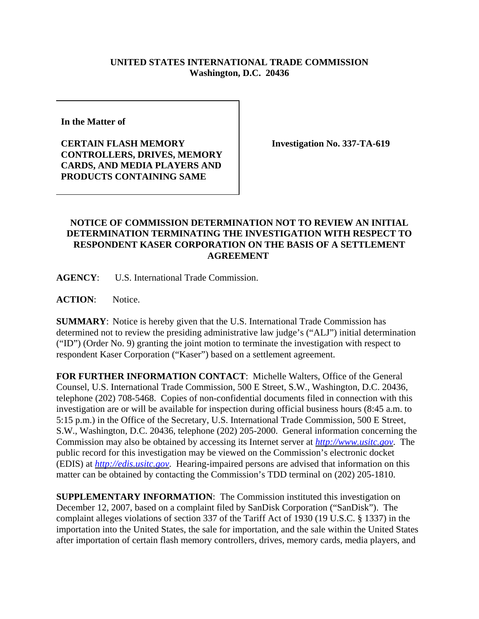## **UNITED STATES INTERNATIONAL TRADE COMMISSION Washington, D.C. 20436**

**In the Matter of** 

**CERTAIN FLASH MEMORY CONTROLLERS, DRIVES, MEMORY CARDS, AND MEDIA PLAYERS AND PRODUCTS CONTAINING SAME**

**Investigation No. 337-TA-619**

## **NOTICE OF COMMISSION DETERMINATION NOT TO REVIEW AN INITIAL DETERMINATION TERMINATING THE INVESTIGATION WITH RESPECT TO RESPONDENT KASER CORPORATION ON THE BASIS OF A SETTLEMENT AGREEMENT**

**AGENCY**: U.S. International Trade Commission.

**ACTION**: Notice.

**SUMMARY**: Notice is hereby given that the U.S. International Trade Commission has determined not to review the presiding administrative law judge's ("ALJ") initial determination ("ID") (Order No. 9) granting the joint motion to terminate the investigation with respect to respondent Kaser Corporation ("Kaser") based on a settlement agreement.

**FOR FURTHER INFORMATION CONTACT**: Michelle Walters, Office of the General Counsel, U.S. International Trade Commission, 500 E Street, S.W., Washington, D.C. 20436, telephone (202) 708-5468. Copies of non-confidential documents filed in connection with this investigation are or will be available for inspection during official business hours (8:45 a.m. to 5:15 p.m.) in the Office of the Secretary, U.S. International Trade Commission, 500 E Street, S.W., Washington, D.C. 20436, telephone (202) 205-2000. General information concerning the Commission may also be obtained by accessing its Internet server at *http://www.usitc.gov*. The public record for this investigation may be viewed on the Commission's electronic docket (EDIS) at *http://edis.usitc.gov*. Hearing-impaired persons are advised that information on this matter can be obtained by contacting the Commission's TDD terminal on (202) 205-1810.

**SUPPLEMENTARY INFORMATION**: The Commission instituted this investigation on December 12, 2007, based on a complaint filed by SanDisk Corporation ("SanDisk"). The complaint alleges violations of section 337 of the Tariff Act of 1930 (19 U.S.C. § 1337) in the importation into the United States, the sale for importation, and the sale within the United States after importation of certain flash memory controllers, drives, memory cards, media players, and